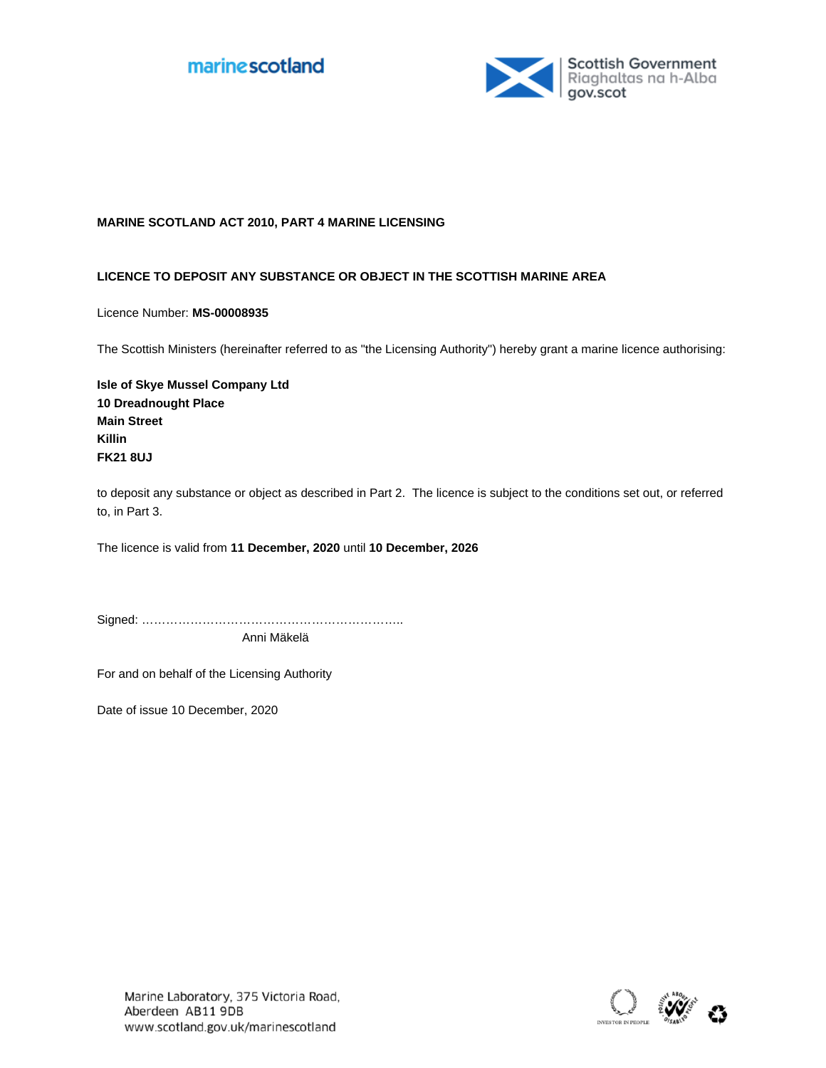



## **MARINE SCOTLAND ACT 2010, PART 4 MARINE LICENSING**

## **LICENCE TO DEPOSIT ANY SUBSTANCE OR OBJECT IN THE SCOTTISH MARINE AREA**

Licence Number: **MS-00008935**

The Scottish Ministers (hereinafter referred to as "the Licensing Authority") hereby grant a marine licence authorising:

**Isle of Skye Mussel Company Ltd 10 Dreadnought Place Main Street Killin FK21 8UJ**

to deposit any substance or object as described in Part 2. The licence is subject to the conditions set out, or referred to, in Part 3.

The licence is valid from **11 December, 2020** until **10 December, 2026**

Signed: ……………………………………………………….. Anni Mäkelä

For and on behalf of the Licensing Authority

Date of issue 10 December, 2020

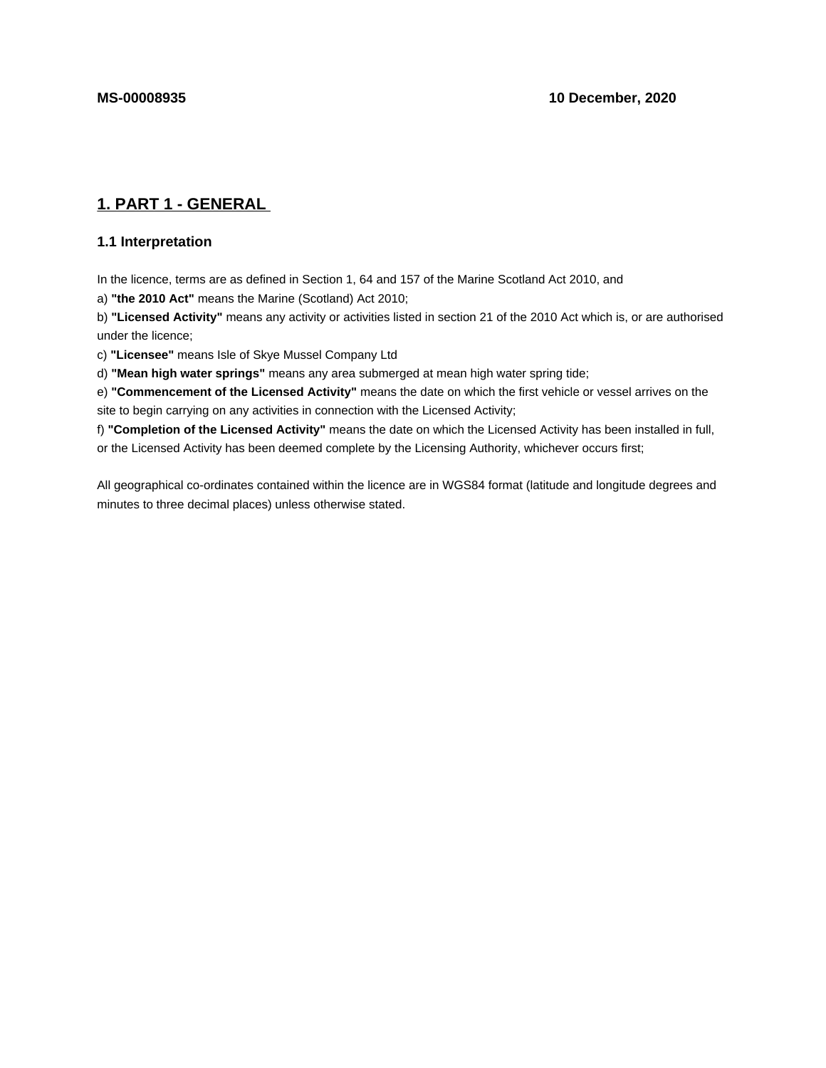# **1. PART 1 - GENERAL**

## **1.1 Interpretation**

In the licence, terms are as defined in Section 1, 64 and 157 of the Marine Scotland Act 2010, and

a) **"the 2010 Act"** means the Marine (Scotland) Act 2010;

b) **"Licensed Activity"** means any activity or activities listed in section 21 of the 2010 Act which is, or are authorised under the licence;

c) **"Licensee"** means Isle of Skye Mussel Company Ltd

d) **"Mean high water springs"** means any area submerged at mean high water spring tide;

e) **"Commencement of the Licensed Activity"** means the date on which the first vehicle or vessel arrives on the site to begin carrying on any activities in connection with the Licensed Activity;

f) **"Completion of the Licensed Activity"** means the date on which the Licensed Activity has been installed in full, or the Licensed Activity has been deemed complete by the Licensing Authority, whichever occurs first;

All geographical co-ordinates contained within the licence are in WGS84 format (latitude and longitude degrees and minutes to three decimal places) unless otherwise stated.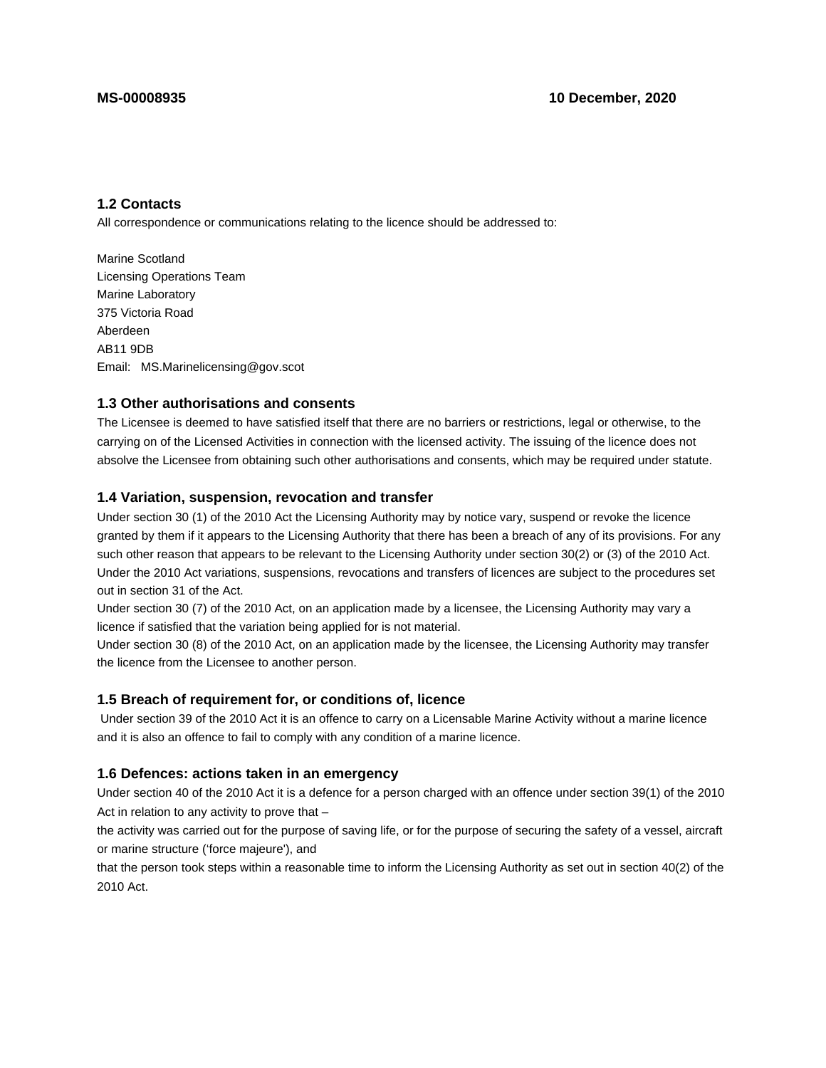# **1.2 Contacts**

All correspondence or communications relating to the licence should be addressed to:

Marine Scotland Licensing Operations Team Marine Laboratory 375 Victoria Road Aberdeen AB11 9DB Email: MS.Marinelicensing@gov.scot

## **1.3 Other authorisations and consents**

The Licensee is deemed to have satisfied itself that there are no barriers or restrictions, legal or otherwise, to the carrying on of the Licensed Activities in connection with the licensed activity. The issuing of the licence does not absolve the Licensee from obtaining such other authorisations and consents, which may be required under statute.

# **1.4 Variation, suspension, revocation and transfer**

Under section 30 (1) of the 2010 Act the Licensing Authority may by notice vary, suspend or revoke the licence granted by them if it appears to the Licensing Authority that there has been a breach of any of its provisions. For any such other reason that appears to be relevant to the Licensing Authority under section 30(2) or (3) of the 2010 Act. Under the 2010 Act variations, suspensions, revocations and transfers of licences are subject to the procedures set out in section 31 of the Act.

Under section 30 (7) of the 2010 Act, on an application made by a licensee, the Licensing Authority may vary a licence if satisfied that the variation being applied for is not material.

Under section 30 (8) of the 2010 Act, on an application made by the licensee, the Licensing Authority may transfer the licence from the Licensee to another person.

## **1.5 Breach of requirement for, or conditions of, licence**

 Under section 39 of the 2010 Act it is an offence to carry on a Licensable Marine Activity without a marine licence and it is also an offence to fail to comply with any condition of a marine licence.

## **1.6 Defences: actions taken in an emergency**

Under section 40 of the 2010 Act it is a defence for a person charged with an offence under section 39(1) of the 2010 Act in relation to any activity to prove that –

the activity was carried out for the purpose of saving life, or for the purpose of securing the safety of a vessel, aircraft or marine structure ('force majeure'), and

that the person took steps within a reasonable time to inform the Licensing Authority as set out in section 40(2) of the 2010 Act.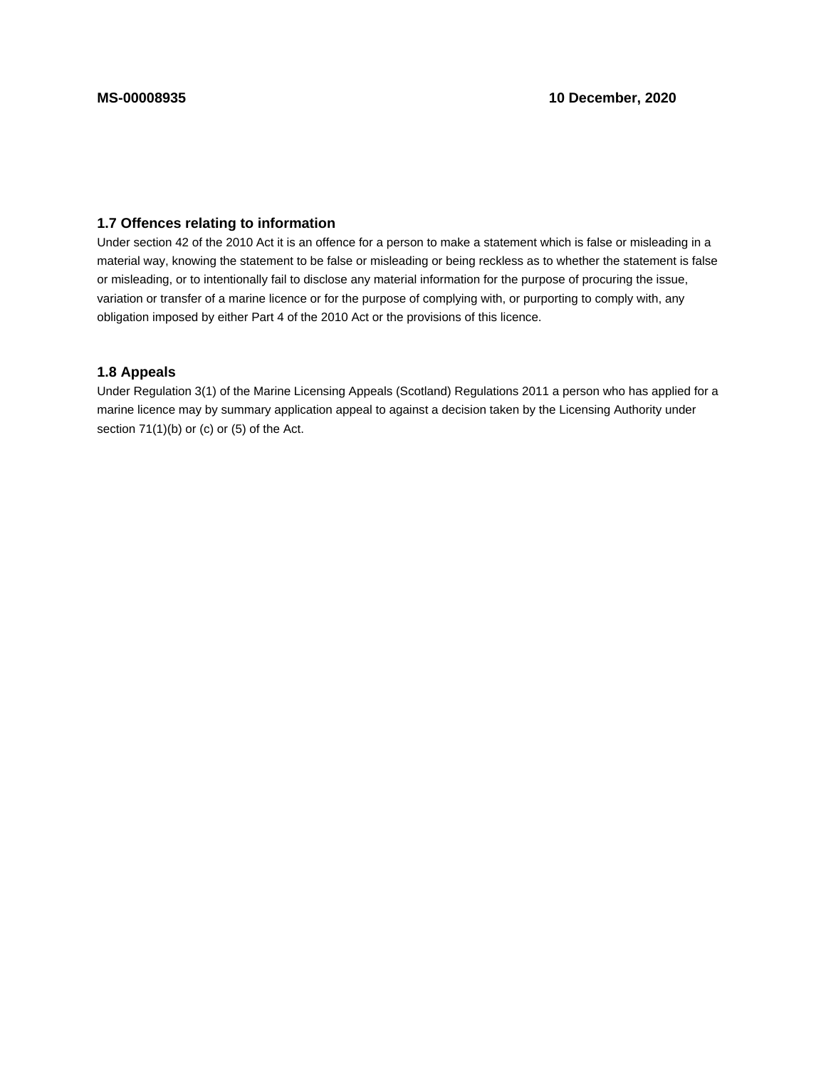# **1.7 Offences relating to information**

Under section 42 of the 2010 Act it is an offence for a person to make a statement which is false or misleading in a material way, knowing the statement to be false or misleading or being reckless as to whether the statement is false or misleading, or to intentionally fail to disclose any material information for the purpose of procuring the issue, variation or transfer of a marine licence or for the purpose of complying with, or purporting to comply with, any obligation imposed by either Part 4 of the 2010 Act or the provisions of this licence.

# **1.8 Appeals**

Under Regulation 3(1) of the Marine Licensing Appeals (Scotland) Regulations 2011 a person who has applied for a marine licence may by summary application appeal to against a decision taken by the Licensing Authority under section 71(1)(b) or (c) or (5) of the Act.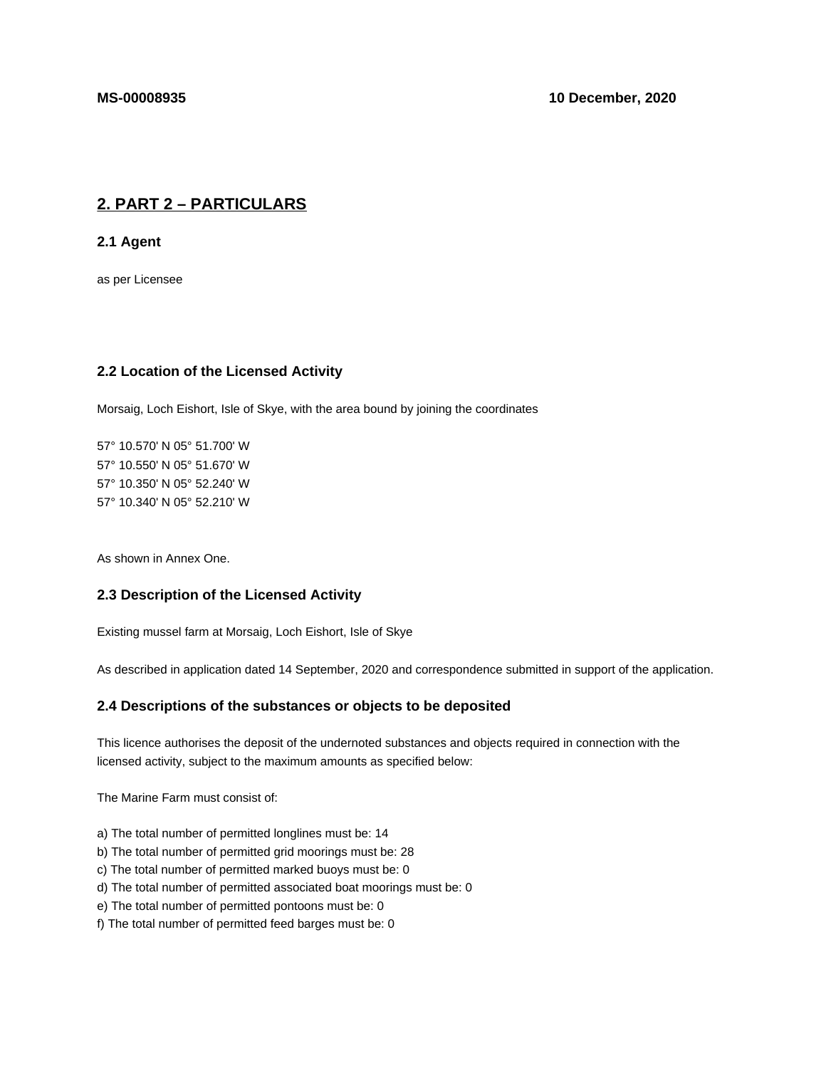# **2. PART 2 – PARTICULARS**

**2.1 Agent**

as per Licensee

# **2.2 Location of the Licensed Activity**

Morsaig, Loch Eishort, Isle of Skye, with the area bound by joining the coordinates

57° 10.570' N 05° 51.700' W 57° 10.550' N 05° 51.670' W 57° 10.350' N 05° 52.240' W 57° 10.340' N 05° 52.210' W

As shown in Annex One.

## **2.3 Description of the Licensed Activity**

Existing mussel farm at Morsaig, Loch Eishort, Isle of Skye

As described in application dated 14 September, 2020 and correspondence submitted in support of the application.

# **2.4 Descriptions of the substances or objects to be deposited**

This licence authorises the deposit of the undernoted substances and objects required in connection with the licensed activity, subject to the maximum amounts as specified below:

The Marine Farm must consist of:

- a) The total number of permitted longlines must be: 14
- b) The total number of permitted grid moorings must be: 28
- c) The total number of permitted marked buoys must be: 0
- d) The total number of permitted associated boat moorings must be: 0
- e) The total number of permitted pontoons must be: 0
- f) The total number of permitted feed barges must be: 0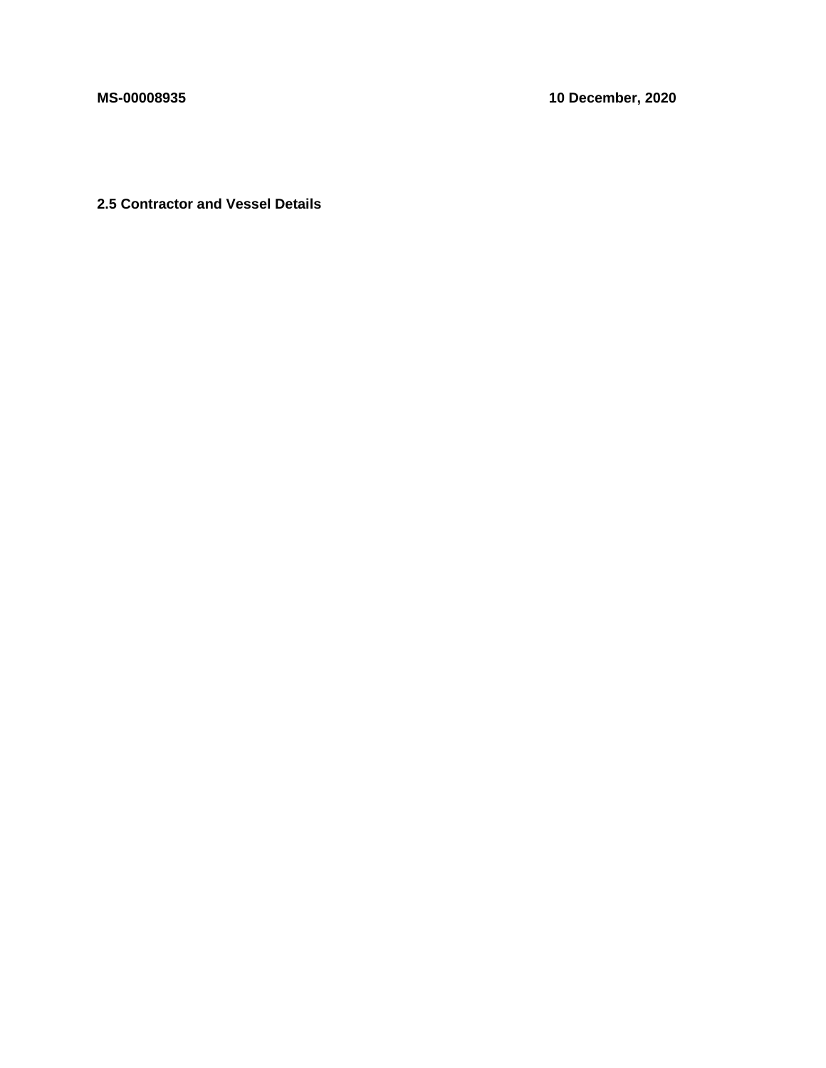**MS-00008935 10 December, 2020**

**2.5 Contractor and Vessel Details**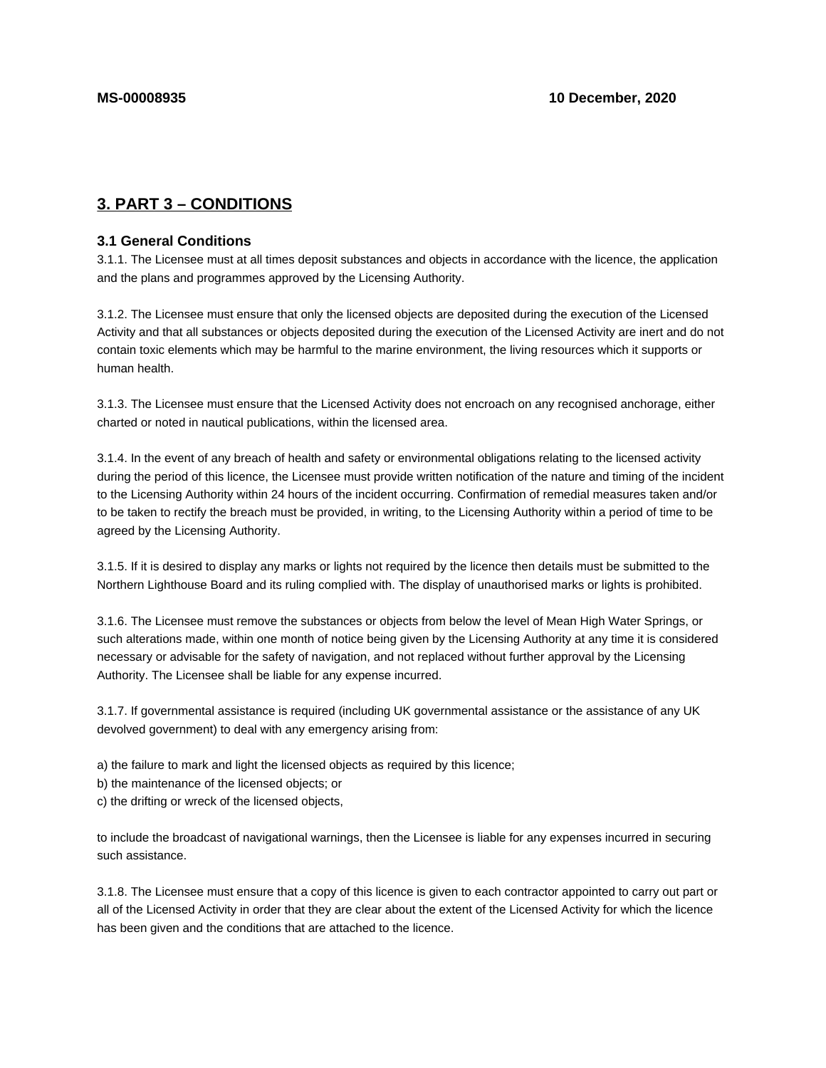# **3. PART 3 – CONDITIONS**

## **3.1 General Conditions**

3.1.1. The Licensee must at all times deposit substances and objects in accordance with the licence, the application and the plans and programmes approved by the Licensing Authority.

3.1.2. The Licensee must ensure that only the licensed objects are deposited during the execution of the Licensed Activity and that all substances or objects deposited during the execution of the Licensed Activity are inert and do not contain toxic elements which may be harmful to the marine environment, the living resources which it supports or human health.

3.1.3. The Licensee must ensure that the Licensed Activity does not encroach on any recognised anchorage, either charted or noted in nautical publications, within the licensed area.

3.1.4. In the event of any breach of health and safety or environmental obligations relating to the licensed activity during the period of this licence, the Licensee must provide written notification of the nature and timing of the incident to the Licensing Authority within 24 hours of the incident occurring. Confirmation of remedial measures taken and/or to be taken to rectify the breach must be provided, in writing, to the Licensing Authority within a period of time to be agreed by the Licensing Authority.

3.1.5. If it is desired to display any marks or lights not required by the licence then details must be submitted to the Northern Lighthouse Board and its ruling complied with. The display of unauthorised marks or lights is prohibited.

3.1.6. The Licensee must remove the substances or objects from below the level of Mean High Water Springs, or such alterations made, within one month of notice being given by the Licensing Authority at any time it is considered necessary or advisable for the safety of navigation, and not replaced without further approval by the Licensing Authority. The Licensee shall be liable for any expense incurred.

3.1.7. If governmental assistance is required (including UK governmental assistance or the assistance of any UK devolved government) to deal with any emergency arising from:

a) the failure to mark and light the licensed objects as required by this licence;

b) the maintenance of the licensed objects; or

c) the drifting or wreck of the licensed objects,

to include the broadcast of navigational warnings, then the Licensee is liable for any expenses incurred in securing such assistance.

3.1.8. The Licensee must ensure that a copy of this licence is given to each contractor appointed to carry out part or all of the Licensed Activity in order that they are clear about the extent of the Licensed Activity for which the licence has been given and the conditions that are attached to the licence.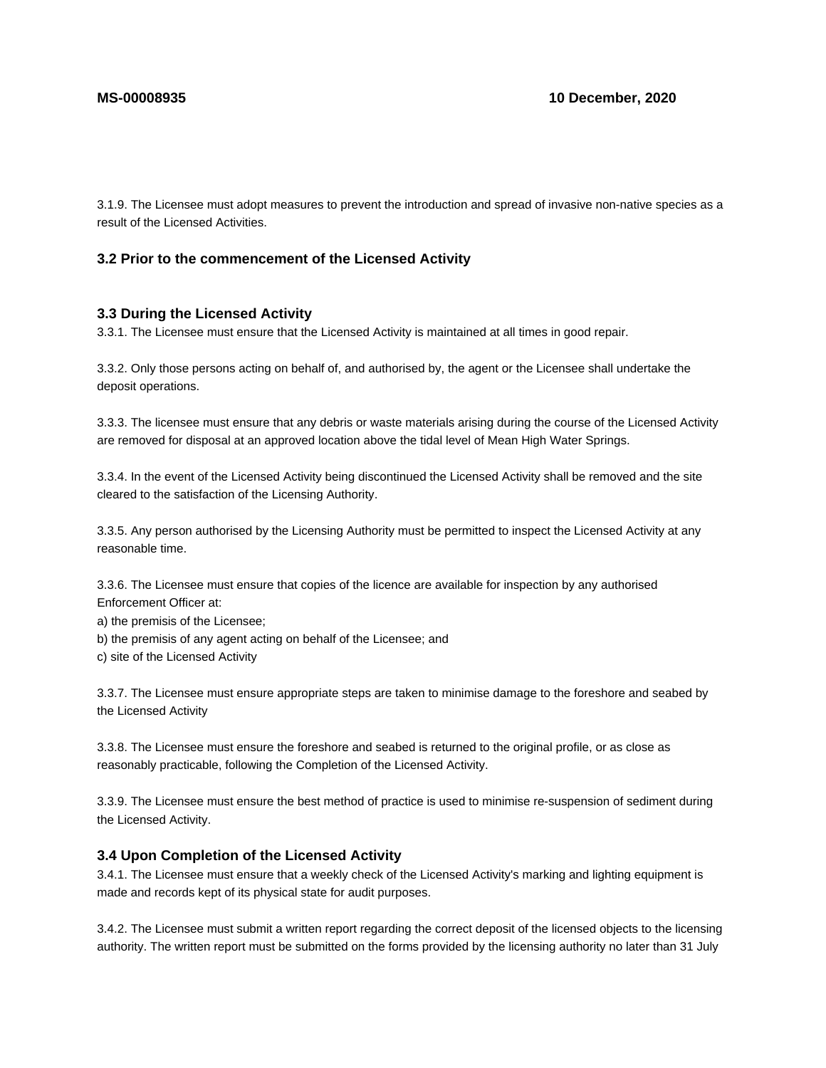3.1.9. The Licensee must adopt measures to prevent the introduction and spread of invasive non-native species as a result of the Licensed Activities.

# **3.2 Prior to the commencement of the Licensed Activity**

#### **3.3 During the Licensed Activity**

3.3.1. The Licensee must ensure that the Licensed Activity is maintained at all times in good repair.

3.3.2. Only those persons acting on behalf of, and authorised by, the agent or the Licensee shall undertake the deposit operations.

3.3.3. The licensee must ensure that any debris or waste materials arising during the course of the Licensed Activity are removed for disposal at an approved location above the tidal level of Mean High Water Springs.

3.3.4. In the event of the Licensed Activity being discontinued the Licensed Activity shall be removed and the site cleared to the satisfaction of the Licensing Authority.

3.3.5. Any person authorised by the Licensing Authority must be permitted to inspect the Licensed Activity at any reasonable time.

3.3.6. The Licensee must ensure that copies of the licence are available for inspection by any authorised Enforcement Officer at:

a) the premisis of the Licensee;

- b) the premisis of any agent acting on behalf of the Licensee; and
- c) site of the Licensed Activity

3.3.7. The Licensee must ensure appropriate steps are taken to minimise damage to the foreshore and seabed by the Licensed Activity

3.3.8. The Licensee must ensure the foreshore and seabed is returned to the original profile, or as close as reasonably practicable, following the Completion of the Licensed Activity.

3.3.9. The Licensee must ensure the best method of practice is used to minimise re-suspension of sediment during the Licensed Activity.

### **3.4 Upon Completion of the Licensed Activity**

3.4.1. The Licensee must ensure that a weekly check of the Licensed Activity's marking and lighting equipment is made and records kept of its physical state for audit purposes.

3.4.2. The Licensee must submit a written report regarding the correct deposit of the licensed objects to the licensing authority. The written report must be submitted on the forms provided by the licensing authority no later than 31 July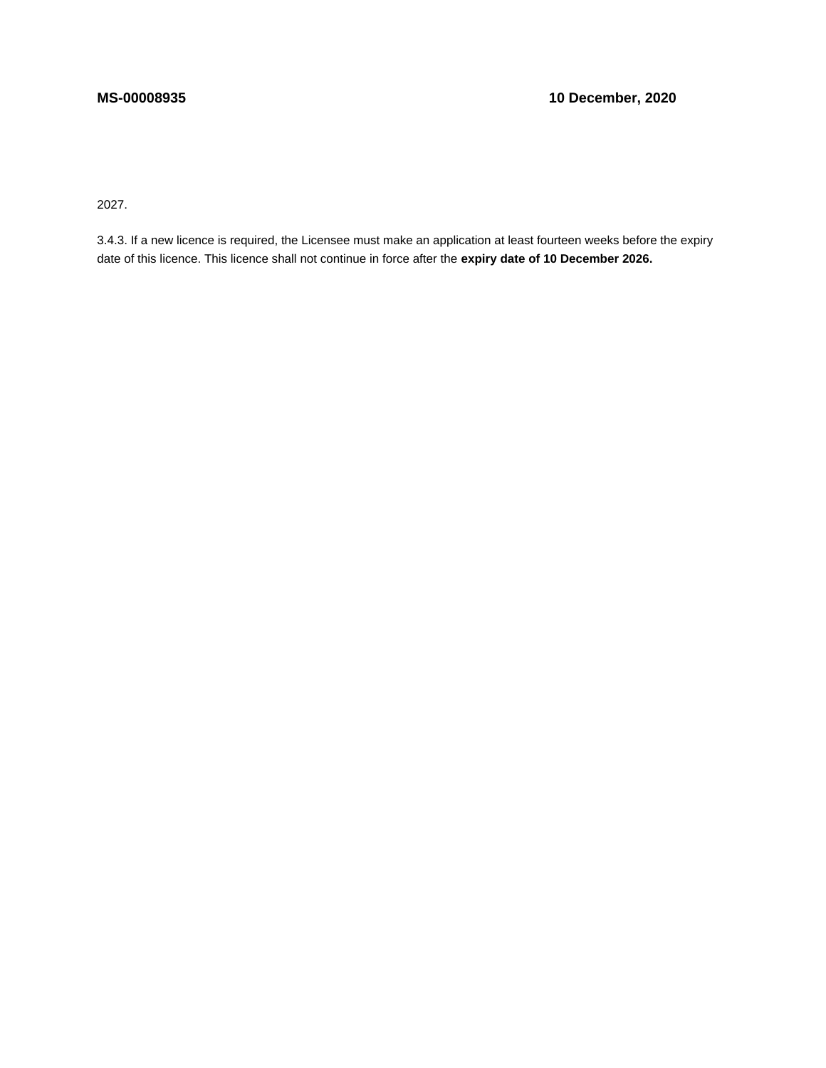2027.

3.4.3. If a new licence is required, the Licensee must make an application at least fourteen weeks before the expiry date of this licence. This licence shall not continue in force after the **expiry date of 10 December 2026.**